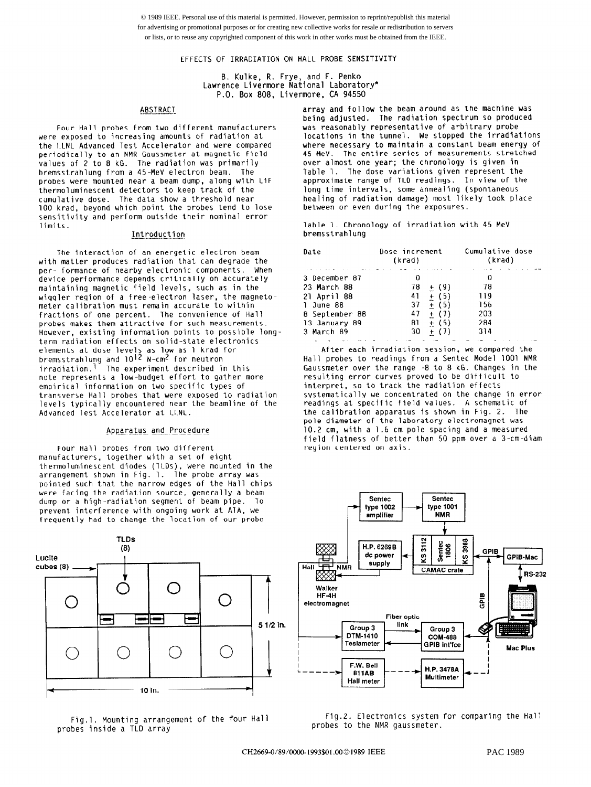© 1989 IEEE. Personal use of this material is permitted. However, permission to reprint/republish this material for advertising or promotional purposes or for creating new collective works for resale or redistribution to servers or lists, or to reuse any copyrighted component of this work in other works must be obtained from the IEEE.

EFFECTS OF IRRADIATION ON HALL PROBE SENSITIVITY

6. Kulke, R. Frye, and F. Penko Lawrence Livermore National Laborato P.O. Box 808, Livermore, CA 94550

#### ABSTRACT

Four Hall probes from two different manufacturers were exposed to increasing amounts of radiation at the ILNL Advanced Test Accelerator and were compared periodically to an NMR Gaussmeter at magnetic field values of 2 to 8 kG. The radiation was primarily bremsstrahlung from a 45.-MeV electron beam. The probes were mounted near a beam dump, along with LiF thermoluminescent detectors to keep track of the cumulative dose. The data show a threshold near 100 krad, beyond which point the probes tend to lose sensitivity and perform outside their nominal error limits.

# Introduction

The interaction of an energetic electron beam with matter produces radiation that can degrade the per- formance of nearby electronic components. When device performance depends critically on accurat maintaining magnetic field levels, such as in the wiggler region of a free-electron laser, the magnetometer calibration must remain accurate to within fractions of one percent. The convenience of Hall probes makes them attractive for such measurements. However, existing information points to possible longterm radiation effects on solid-state electronics elements at dose levels as low as 1 krad for bremsstrahlung and 10'<sup>c</sup> N-cm<sup>c</sup> for neutro irradiation.' The experiment described in this note represents a low-budget effort to gather more empirical information on two specific types of transverse Hall probes that were exposed to radiation levels typically encountered near the beamline of the Advanced lest Accelerator at LLNL.

#### Apparatus and Procedure

Four Hall probes from two different manufacturers. together with a set of eight thermoluminescent diodes (lLDs), were mounted in the arrangement shown in Fig. 1. The probe array was pointed such that the narrow edges of the Hall chips were facing the radiation source, generally a beam dump or a high-radiation segment of beam pipe. To prevent interference with ongoing work at AlA, we frequently had to change the location of our probe



Fig.1. Mounting arrangement of the four Hall probes inside a TLD array

array and follow the beam around as the machine was being adjusted. The radiation spectrum so produced was reasonably representative of arbitrary probe locations in the tunnel. We stopped the irradiations where necessary to maintain a constant beam energy of 45 MeV. The entire series of measurements stretched over almost one year; the chronology is given in Table 1. The dose variations given represent the approximate range of TLD readings. In view of the long time intervals, some annealing (spontaneous healing of radiation damage) most likely took place between or even during the exposures.

lable 1. Chronology of irradiation with 45 MeV bremsstrahlung

| Date           | Dose increment<br>(krad) | Cumulative dose<br>(krad) |
|----------------|--------------------------|---------------------------|
| 3 December 87  |                          | O                         |
| 23 March 88    | 78                       | 78<br>$+ (9)$             |
| 21 April 88    | 41                       | $+$ (5)<br>119            |
| 1 June 88      | 37                       | $+ (5)$<br>156            |
| 8 September 88 | 47                       | 203<br>$+$ (7)            |
| 13 January 89  | 81                       | 284<br>$+$ (5)            |
| 3 March 89     | 30                       | 314<br>$+$ (7)            |
|                |                          |                           |

After each irradiation session, we compared the Hall probes to readings from a Sentec Model 1001 NMR Gaucsmeter over the range -8 to 8 kG. Changes in the resulting error curves proved to be difficult to interpret, so to track the radiation effects systematically we concentrated on the change in error readings at specific field values. A schematic of the calibration apparatus is shown in Fig. 2. The pole diameter of the laboratory electromagnet was 10.2 cm, with a 1.6 cm pole spacing and a measured field flatness of better than 50 ppm over a 3-cm-diam region centered on axis.



Fig.2. Electronics system for comparing the Hal: probes to the NMR gaussmeter.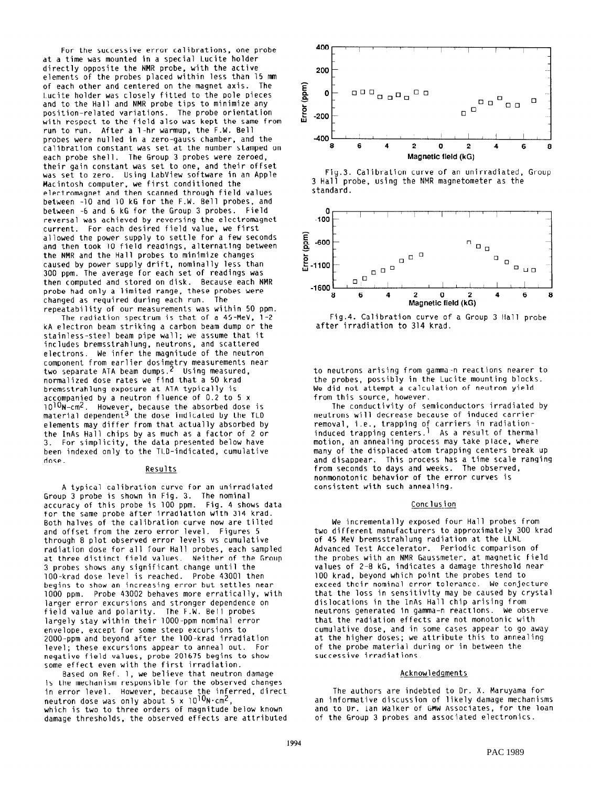For the successive error calibrations, one probe at a time was mounted in a special Lucite holder directly opposite the NMR probe, with the activ elements of the probes placed within less than 15 n of each other and centered on the magnet axis. The Lucite holder was closely fitted to the pole pieces and to the Hall and NMR probe tips to minimize any position-related variations. The probe orientation with respect to the field also was kept the same from run to run. After a 1-hr warmup, the F.W. Bell probes were nulled in a zero-gauss chamber, and the calibration constant was set at the number stamped on each probe shell. The Group 3 probes were zeroed, their gain constant was set to one, and their offset was set to zero. Using LabView software in an Apple Macintosh computer, we first conditioned the electromagnet and then scanned through field values between -10 and 10 kG for the F.W. Bell probes, and between -b and b kG for the Group 3 probes. Field reversal was achieved by reversing the electromagnet current. For each desired field value, we first allowed the power supply to settle for a few seconds and then took 10 field readings, alternating between the NMR and the Hall probes to minimize changes caused by power supply drift, nominally less than 300 ppm. The average for each set of readings was then computed and stored on disk. Because each NMR probe had only a limited range, these probes were changed as required during each run. The

repeatability of our measurements was within 50 ppm. The radiation spectrum is that of a  $45-MeV$ ,  $1-2$ kA electron beam striking a carbon beam dump or the stainless-steel beam pipe wall; we assume that it includes bremsstrahlung, neutrons, and scattered electrons. We infer the magnitude of the neutron component from earlier dosimetry measurements near two separate ATA beam dumps.2 Using measured, normalized dose rates we find that a 50 krad bremsstrahlung exposure at ATA typically is accompanied by a neutron fluence of 0.2 to 5 x loToN-cm\*. However, because the absorbed dose is material dependent3 the dose indicated by the TLD elements may differ from that actually absorbed by the InAs Hall chips by as much as a factor of 2 or 3. For simplicity, the data presented below have been indexed only to the TLD-indicated, cumulative dose.

## Results

A typical calibration curve for an unirradiated Group 3 probe is shown in Fig. 3. The nominal accuracy of this probe is 100 ppm. Fig. 4 shows data for the same probe after irradiation with 314 krad. Both halves of the calibration curve now are tilted and offset from the zero error level. Figures 5 through 8 plot observed error levels vs cumulative radiation dose for all four Hall probes, each sampled at three distinct field values. Neither of the Group 3 probes shows any significant change until the lOO-krad dose level is reached. Probe 43001 then begins to show an increasing error but settles near 1000 ppm. Probe 43002 behaves more erratically, with larger error excursions and stronger dependence on field value and polarity. The F.W. Bell probes largely stay within their lOOO-ppm nominal error envelope, except for some steep excursions to 2000-ppm and beyond after the lOO-krad irradiation level; these excursions appear to anneal out. For negative field values, probe 201675 begins to show some effect even with the first irradial

Based on Ref. 1, we believe that neutron damage is the mechanism responsible for the observed changes in error level. However, because the inferred, direct neutron dose was only about 5 x  $10^{10}$ N $\cdot$ cm<sup>2</sup> which is two to three orders of magnitude below known damage thresholds, the observed effects are attributed







Fig.4. Calibration curve of a Group 3 Hall probe after irradiation to 314 krad.

to neutrons arising from gamma-n reactions nearer to the probes, possibly in the Lucite mounting blocks. We did not attempt a calculation of neutron yield from this source, however.

The conductivity of semiconductors irradiated by neutrons will decrease because of induced carrier removal, i.e., trapping of carriers in radiati induced trapping centers.' As a result of thermal motion, an annealing process may take place, where many of the displaced-atom trapping centers break up and disappear. This process has a time scale ranging from seconds to days and weeks. The observed, nonmonotonic behavior of the error curves is consistent with such annealing.

# Conclusion

We incrementally exposed four Hall probes from two different manufacturers to approximately 300 krad of 45 MeV bremsstrahlung radiation at the LLNL Advanced Test Accelerator. Periodic comparison of the probes with an NMR Gaussmeter, at magnetic field values of 2-B kG, indicates a damage threshold near 100 krad, beyond which point the probes tend to exceed their nominal error tolerance. We conjecture that the loss in sensitivity may be caused by crystal dislocations in the InAs Hall chip arising from neutrons generated in gamma-n reactions. We observe that the radiation effects are not monotonic with cumulative dose, and in some cases appear to go away at the higher doses; we attribute this to annealing of the probe material during or in between the successive irradiations.

#### Acknowledgments

The authors are indebted to Dr. X. Maruyama for an informative discussion of likely damage mechanisms and to Dr. Ian Walker of GMW Associates, for the loan of the Group 3 probes and associated electronics.